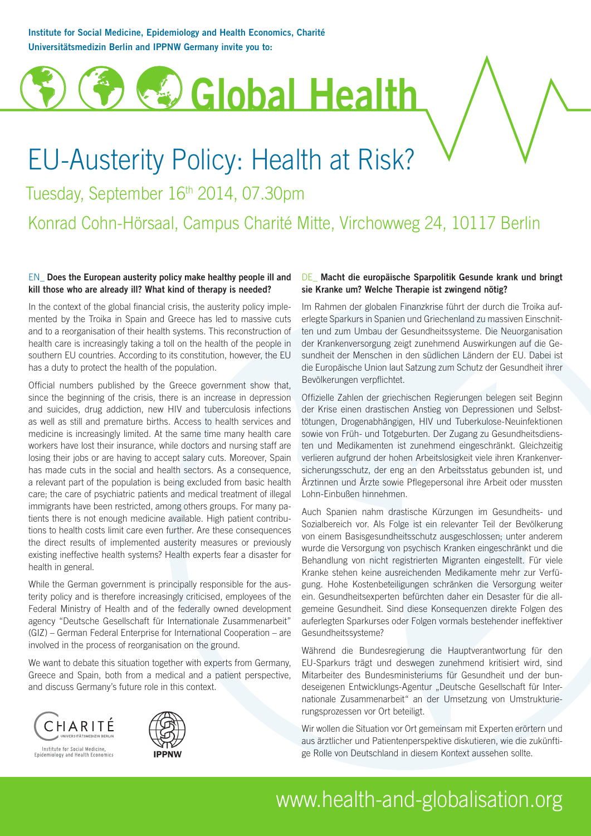Institute for Social Medicine, Epidemiology and Health Economics, Charité Universitätsmedizin Berlin and IPPNW Germany invite you to:

# Global Health

## EU-Austerity Policy: Health at Risk?

Tuesday, September 16<sup>th</sup> 2014, 07.30pm

### Konrad Cohn-Hörsaal, Campus Charité Mitte, Virchowweg 24, 10117 Berlin

#### EN\_ Does the European austerity policy make healthy people ill and kill those who are already ill? What kind of therapy is needed?

In the context of the global financial crisis, the austerity policy implemented by the Troika in Spain and Greece has led to massive cuts and to a reorganisation of their health systems. This reconstruction of health care is increasingly taking a toll on the health of the people in southern EU countries. According to its constitution, however, the EU has a duty to protect the health of the population.

Official numbers published by the Greece government show that, since the beginning of the crisis, there is an increase in depression and suicides, drug addiction, new HIV and tuberculosis infections as well as still and premature births. Access to health services and medicine is increasingly limited. At the same time many health care workers have lost their insurance, while doctors and nursing staff are losing their jobs or are having to accept salary cuts. Moreover, Spain has made cuts in the social and health sectors. As a consequence, a relevant part of the population is being excluded from basic health care; the care of psychiatric patients and medical treatment of illegal immigrants have been restricted, among others groups. For many patients there is not enough medicine available. High patient contributions to health costs limit care even further. Are these consequences the direct results of implemented austerity measures or previously existing ineffective health systems? Health experts fear a disaster for health in general.

While the German government is principally responsible for the austerity policy and is therefore increasingly criticised, employees of the Federal Ministry of Health and of the federally owned development agency "Deutsche Gesellschaft für Internationale Zusammenarbeit" (GIZ) – German Federal Enterprise for International Cooperation – are involved in the process of reorganisation on the ground.

We want to debate this situation together with experts from Germany, Greece and Spain, both from a medical and a patient perspective, and discuss Germany's future role in this context.





#### DE\_ Macht die europäische Sparpolitik Gesunde krank und bringt sie Kranke um? Welche Therapie ist zwingend nötig?

Im Rahmen der globalen Finanzkrise führt der durch die Troika auferlegte Sparkurs in Spanien und Griechenland zu massiven Einschnitten und zum Umbau der Gesundheitssysteme. Die Neuorganisation der Krankenversorgung zeigt zunehmend Auswirkungen auf die Gesundheit der Menschen in den südlichen Ländern der EU. Dabei ist die Europäische Union laut Satzung zum Schutz der Gesundheit ihrer Bevölkerungen verpflichtet.

Offizielle Zahlen der griechischen Regierungen belegen seit Beginn der Krise einen drastischen Anstieg von Depressionen und Selbsttötungen, Drogenabhängigen, HIV und Tuberkulose-Neuinfektionen sowie von Früh- und Totgeburten. Der Zugang zu Gesundheitsdiensten und Medikamenten ist zunehmend eingeschränkt. Gleichzeitig verlieren aufgrund der hohen Arbeitslosigkeit viele ihren Krankenversicherungsschutz, der eng an den Arbeitsstatus gebunden ist, und Ärztinnen und Ärzte sowie Pflegepersonal ihre Arbeit oder mussten Lohn-Einbußen hinnehmen.

in which we applies the control of the main windinfull mathematic account of the control of the state of the control of the mathematic control of the control of the control of the control of the control of the mathematic c Auch Spanien nahm drastische Kürzungen im Gesundheits- und Sozialbereich vor. Als Folge ist ein relevanter Teil der Bevölkerung von einem Basisgesundheitsschutz ausgeschlossen; unter anderem wurde die Versorgung von psychisch Kranken eingeschränkt und die Behandlung von nicht registrierten Migranten eingestellt. Für viele Kranke stehen keine ausreichenden Medikamente mehr zur Verfügung. Hohe Kostenbeteiligungen schränken die Versorgung weiter ein. Gesundheitsexperten befürchten daher ein Desaster für die allgemeine Gesundheit. Sind diese Konsequenzen direkte Folgen des auferlegten Sparkurses oder Folgen vormals bestehender ineffektiver Gesundheitssysteme?

Während die Bundesregierung die Hauptverantwortung für den EU-Sparkurs trägt und deswegen zunehmend kritisiert wird, sind Mitarbeiter des Bundesministeriums für Gesundheit und der bundeseigenen Entwicklungs-Agentur "Deutsche Gesellschaft für Internationale Zusammenarbeit" an der Umsetzung von Umstrukturierungsprozessen vor Ort beteiligt.

Wir wollen die Situation vor Ort gemeinsam mit Experten erörtern und aus ärztlicher und Patientenperspektive diskutieren, wie die zukünftige Rolle von Deutschland in diesem Kontext aussehen sollte.

### www.health-and-globalisation.org